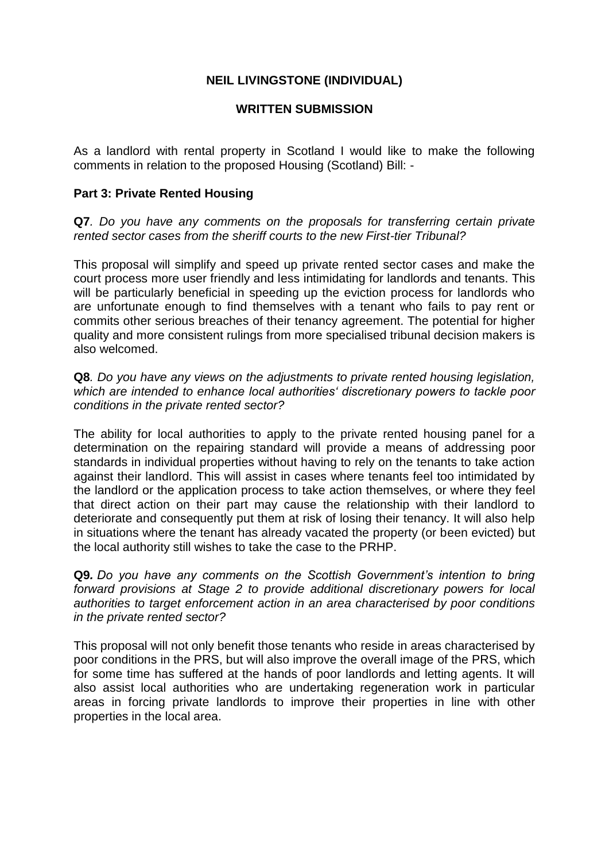# **NEIL LIVINGSTONE (INDIVIDUAL)**

#### **WRITTEN SUBMISSION**

As a landlord with rental property in Scotland I would like to make the following comments in relation to the proposed Housing (Scotland) Bill: -

#### **Part 3: Private Rented Housing**

**Q7***. Do you have any comments on the proposals for transferring certain private rented sector cases from the sheriff courts to the new First-tier Tribunal?*

This proposal will simplify and speed up private rented sector cases and make the court process more user friendly and less intimidating for landlords and tenants. This will be particularly beneficial in speeding up the eviction process for landlords who are unfortunate enough to find themselves with a tenant who fails to pay rent or commits other serious breaches of their tenancy agreement. The potential for higher quality and more consistent rulings from more specialised tribunal decision makers is also welcomed.

**Q8***. Do you have any views on the adjustments to private rented housing legislation, which are intended to enhance local authorities' discretionary powers to tackle poor conditions in the private rented sector?*

The ability for local authorities to apply to the private rented housing panel for a determination on the repairing standard will provide a means of addressing poor standards in individual properties without having to rely on the tenants to take action against their landlord. This will assist in cases where tenants feel too intimidated by the landlord or the application process to take action themselves, or where they feel that direct action on their part may cause the relationship with their landlord to deteriorate and consequently put them at risk of losing their tenancy. It will also help in situations where the tenant has already vacated the property (or been evicted) but the local authority still wishes to take the case to the PRHP.

**Q9***. Do you have any comments on the Scottish Government's intention to bring forward provisions at Stage 2 to provide additional discretionary powers for local authorities to target enforcement action in an area characterised by poor conditions in the private rented sector?*

This proposal will not only benefit those tenants who reside in areas characterised by poor conditions in the PRS, but will also improve the overall image of the PRS, which for some time has suffered at the hands of poor landlords and letting agents. It will also assist local authorities who are undertaking regeneration work in particular areas in forcing private landlords to improve their properties in line with other properties in the local area.